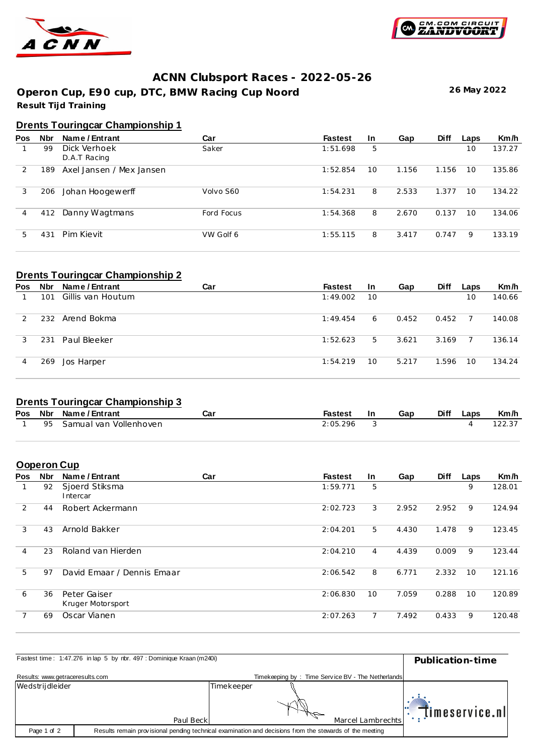



**26 May 2022**

## **ACNN Clubsport Races - 2022-05-26**

**Result Tijd Training Operon Cup, E90 cup, DTC, BMW Racing Cup Noord**

# **Drents Touringcar Championship 1**

| Pos | <b>Nbr</b> | Name / Entrant               | Car        | <b>Fastest</b> | <b>In</b> | Gap   | <b>Diff</b> | Laps | Km/h   |
|-----|------------|------------------------------|------------|----------------|-----------|-------|-------------|------|--------|
|     | 99         | Dick Verhoek<br>D.A.T Racing | Saker      | 1:51.698       | 5         |       |             | 10   | 137.27 |
|     | 189        | Axel Jansen / Mex Jansen     |            | 1:52.854       | 10        | 1.156 | 1.156       | 10   | 135.86 |
| 3   | 206        | Johan Hoogewerff             | Volvo S60  | 1:54.231       | 8         | 2.533 | 1.377       | 10   | 134.22 |
| 4   | 412        | Danny Wagtmans               | Ford Focus | 1:54.368       | 8         | 2.670 | 0.137       | 10   | 134.06 |
| 5.  | 431        | Pim Kievit                   | VW Golf 6  | 1:55.115       | 8         | 3.417 | 0.747       | 9    | 133.19 |

## **Drents Touringcar Championship 2**

| <b>Pos</b> | Nbr | Name / Entrant    | Car | <b>Fastest</b> | <u>In</u> | Gap   | <b>Diff</b> | Laps | Km/h   |
|------------|-----|-------------------|-----|----------------|-----------|-------|-------------|------|--------|
|            | 101 | Gillis van Houtum |     | 1:49.002       | 10        |       |             | 10   | 140.66 |
|            |     | 232 Arend Bokma   |     | 1:49.454       | 6         | 0.452 | 0.452       |      | 140.08 |
|            | 231 | Paul Bleeker      |     | 1:52.623       | 5.        | 3.621 | 3.169       |      | 136.14 |
| 4          | 269 | Jos Harper        |     | 1:54.219       | $10 \,$   | 5.217 | 1.596       | 10   | 134.24 |

## **Drents Touringcar Championship 3**

|    | Pos Nbr Name / Entrant | Caı | <b>Fastest</b> | Gap | <b>Diff</b> | _aps | Km/h |
|----|------------------------|-----|----------------|-----|-------------|------|------|
| 95 | Samual van Vollenhoven |     | 2:05.296       |     |             |      |      |
|    |                        |     |                |     |             |      |      |

## **Ooperon Cup**

| Pos | <b>Nbr</b> | Name / Entrant                    | Car | <b>Fastest</b> | In. | Gap   | <b>Diff</b> | Laps | Km/h   |
|-----|------------|-----------------------------------|-----|----------------|-----|-------|-------------|------|--------|
|     | 92         | Sjoerd Stiksma<br>Intercar        |     | 1:59.771       | 5   |       |             | 9    | 128.01 |
| 2   | 44         | Robert Ackermann                  |     | 2:02.723       | 3   | 2.952 | 2.952       | 9    | 124.94 |
| 3   | 43         | Arnold Bakker                     |     | 2:04.201       | 5   | 4.430 | 1.478       | 9    | 123.45 |
| 4   | 23         | Roland van Hierden                |     | 2:04.210       | 4   | 4.439 | 0.009       | 9    | 123.44 |
| 5   | 97         | David Emaar / Dennis Emaar        |     | 2:06.542       | 8   | 6.771 | 2.332       | 10   | 121.16 |
| 6   | 36         | Peter Gaiser<br>Kruger Motorsport |     | 2:06.830       | 10  | 7.059 | 0.288       | 10   | 120.89 |
| 7   | 69         | Oscar Vianen                      |     | 2:07.263       | 7   | 7.492 | 0.433       | 9    | 120.48 |

|                                 | Fastest time: 1:47.276 in lap 5 by rbr. 497 : Dominique Kraan (m240i)                                   |            |                                                   |                   | Publication-time      |
|---------------------------------|---------------------------------------------------------------------------------------------------------|------------|---------------------------------------------------|-------------------|-----------------------|
| Results: www.getraceresults.com |                                                                                                         |            | Timekeeping by: Time Service BV - The Netherlands |                   |                       |
| Wedstrijdleider                 |                                                                                                         | Timekeeper |                                                   |                   |                       |
|                                 |                                                                                                         |            |                                                   |                   | <b>Timeservice.nl</b> |
|                                 | Paul Beck                                                                                               |            |                                                   | Marcel Lambrechts |                       |
| Page 1 of 2                     | Results remain provisional pending technical examination and decisions from the stewards of the meeting |            |                                                   |                   |                       |